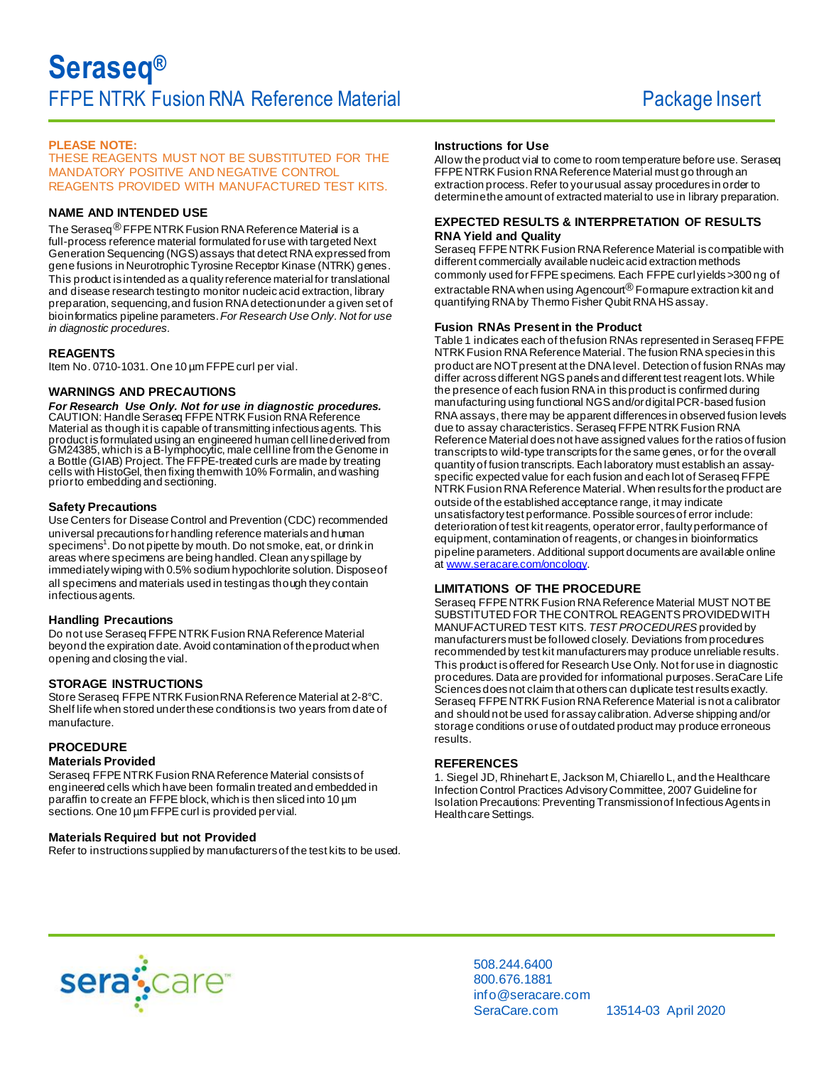# **PLEASE NOTE:**

THESE REAGENTS MUST NOT BE SUBSTITUTED FOR THE MANDATORY POSITIVE AND NEGATIVE CONTROL REAGENTS PROVIDED WITH MANUFACTURED TEST KITS.

### **NAME AND INTENDED USE**

The Seraseq<sup>®</sup> FFPE NTRK Fusion RNA Reference Material is a full-process reference material formulated for use with targeted Next Generation Sequencing (NGS) assays that detect RNA expressed from gene fusions in Neurotrophic Tyrosine Receptor Kinase (NTRK) genes. This product is intended as a quality reference material for translational and disease research testing to monitor nucleic acid extraction, library preparation, sequencing, and fusion RNA detection under a given set of bioinformatics pipeline parameters. *For Research Use Only. Not for use in diagnostic procedures.*

### **REAGENTS**

Item No. 0710-1031. One 10 µm FFPE curl per vial.

### **WARNINGS AND PRECAUTIONS**

*For Research Use Only. Not for use in diagnostic procedures.* CAUTION: Handle Seraseq FFPE NTRK Fusion RNA Reference Material as though it is capable of transmitting infectious agents. This product is formulated using an engineered human cell line derived from GM24385, which is a B-lymphocytic, male cell line from the Genome in a Bottle (GIAB) Project. The FFPE-treated curls are made by treating cells with HistoGel, then fixing them with 10% Formalin, and washing prior to embedding and sectioning.

### **Safety Precautions**

Use Centers for Disease Control and Prevention (CDC) recommended universal precautions for handling reference materials and human specimens<sup>1</sup>. Do not pipette by mouth. Do not smoke, eat, or drink in areas where specimens are being handled. Clean any spillage by immediately wiping with 0.5% sodium hypochlorite solution. Dispose of all specimens and materials used in testing as though they contain infectious agents.

### **Handling Precautions**

Do not use Seraseq FFPE NTRK Fusion RNA Reference Material beyond the expiration date. Avoid contamination of the product when opening and closing the vial.

## **STORAGE INSTRUCTIONS**

Store Seraseq FFPE NTRK Fusion RNA Reference Material at 2-8°C. Shelf life when stored under these conditions is two years from date of manufacture.

# **PROCEDURE**

### **Materials Provided**

Seraseq FFPE NTRK Fusion RNA Reference Material consists of engineered cells which have been formalin treated and embedded in paraffin to create an FFPE block, which is then sliced into 10 µm sections. One 10 um FFPE curl is provided per vial.

### **Materials Required but not Provided**

Refer to instructions supplied by manufacturers of the test kits to be used.

### **Instructions for Use**

Allow the product vial to come to room temperature before use. Seraseq FFPE NTRK Fusion RNA Reference Material must go through an extraction process. Refer to your usual assay procedures in order to determine the amount of extracted material to use in library preparation.

### **EXPECTED RESULTS & INTERPRETATION OF RESULTS RNA Yield and Quality**

Seraseq FFPE NTRK Fusion RNA Reference Material is compatible with different commercially available nucleic acid extraction methods commonly used for FFPE specimens. Each FFPE curl yields >300 ng of extractable RNA when using Agencourt<sup>®</sup> Formapure extraction kit and quantifying RNA by Thermo Fisher Qubit RNA HS assay.

### **Fusion RNAs Present in the Product**

Table 1 indicates each of the fusion RNAs represented in Seraseq FFPE NTRK Fusion RNA Reference Material. The fusion RNA species in this product are NOT present at the DNA level. Detection of fusion RNAs may differ across different NGS panels and different test reagent lots. While the presence of each fusion RNA in this product is confirmed during manufacturing using functional NGS and/or digital PCR-based fusion RNA assays, there may be apparent differences in observed fusion levels due to assay characteristics. Seraseq FFPE NTRK Fusion RNA Reference Material does not have assigned values for the ratios of fusion transcripts to wild-type transcripts for the same genes, or for the overall quantity of fusion transcripts. Each laboratory must establish an assayspecific expected value for each fusion and each lot of Seraseq FFPE NTRK Fusion RNA Reference Material. When results for the product are outside of the established acceptance range, it may indicate unsatisfactory test performance. Possible sources of error include: deterioration of test kit reagents, operator error, faulty performance of equipment, contamination of reagents, or changes in bioinformatics pipeline parameters. Additional support documents are available online at [www.seracare.com/oncology](http://www.seracare.com/oncology).

## **LIMITATIONS OF THE PROCEDURE**

Seraseq FFPE NTRK Fusion RNA Reference Material MUST NOT BE SUBSTITUTED FOR THE CONTROL REAGENTS PROVIDED WITH MANUFACTURED TEST KITS. *TEST PROCEDURES* provided by manufacturers must be followed closely. Deviations from procedures recommended by test kit manufacturers may produce unreliable results. This product is offered for Research Use Only. Not for use in diagnostic procedures. Data are provided for informational purposes. SeraCare Life Sciences does not claim that others can duplicate test results exactly. Seraseq FFPE NTRK Fusion RNA Reference Material is not a calibrator and should not be used for assay calibration. Adverse shipping and/or storage conditions or use of outdated product may produce erroneous results.

### **REFERENCES**

1. Siegel JD, Rhinehart E, Jackson M, Chiarello L, and the Healthcare Infection Control Practices Advisory Committee, 2007 Guideline for Isolation Precautions: Preventing Transmission of Infectious Agents in Healthcare Settings.



508.244.6400 800.676.1881 info@seracare.com SeraCare.com 13514-03 April 2020